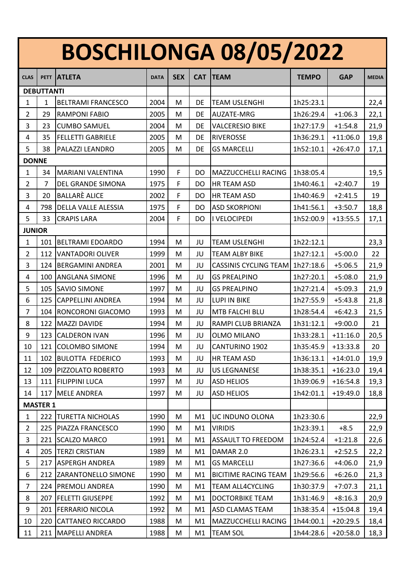## **BOSCHILONGA 08/05/2022**

| <b>CLAS</b>       | <b>PETT</b>     | <b>ATLETA</b>              | <b>DATA</b> | <b>SEX</b>  | <b>CAT</b> | <b>TEAM</b>                  | <b>TEMPO</b> | <b>GAP</b> | <b>MEDIA</b> |
|-------------------|-----------------|----------------------------|-------------|-------------|------------|------------------------------|--------------|------------|--------------|
| <b>DEBUTTANTI</b> |                 |                            |             |             |            |                              |              |            |              |
| $\mathbf{1}$      | $\mathbf{1}$    | <b>BELTRAMI FRANCESCO</b>  | 2004        | M           | DE         | <b>TEAM USLENGHI</b>         | 1h25:23.1    |            | 22,4         |
| $\overline{2}$    | 29              | <b>RAMPONI FABIO</b>       | 2005        | M           | DE         | AUZATE-MRG                   | 1h26:29.4    | $+1:06.3$  | 22,1         |
| 3                 | 23              | <b>CUMBO SAMUEL</b>        | 2004        | M           | DE         | <b>VALCERESIO BIKE</b>       | 1h27:17.9    | $+1:54.8$  | 21,9         |
| 4                 | 35              | <b>FELLETTI GABRIELE</b>   | 2005        | M           | DE         | <b>RIVEROSSE</b>             | 1h36:29.1    | $+11:06.0$ | 19,8         |
| 5                 | 38              | PALAZZI LEANDRO            | 2005        | M           | <b>DE</b>  | <b>GS MARCELLI</b>           | 1h52:10.1    | $+26:47.0$ | 17,1         |
| <b>DONNE</b>      |                 |                            |             |             |            |                              |              |            |              |
| $\mathbf{1}$      | 34              | <b>MARIANI VALENTINA</b>   | 1990        | $\mathsf F$ | DO         | MAZZUCCHELLI RACING          | 1h38:05.4    |            | 19,5         |
| $\overline{2}$    | $\overline{7}$  | DEL GRANDE SIMONA          | 1975        | F           | DO         | HR TEAM ASD                  | 1h40:46.1    | $+2:40.7$  | 19           |
| 3                 | 20              | <b>BALLARE ALICE</b>       | 2002        | F           | DO         | HR TEAM ASD                  | 1h40:46.9    | $+2:41.5$  | 19           |
| 4                 | 798             | <b>DELLA VALLE ALESSIA</b> | 1975        | F           | DO         | <b>ASD SKORPIONI</b>         | 1h41:56.1    | $+3:50.7$  | 18,8         |
| 5                 | 33              | <b>CRAPIS LARA</b>         | 2004        | F           | DO         | I VELOCIPEDI                 | 1h52:00.9    | $+13:55.5$ | 17,1         |
| <b>JUNIOR</b>     |                 |                            |             |             |            |                              |              |            |              |
| $\mathbf{1}$      | 101             | <b>BELTRAMI EDOARDO</b>    | 1994        | M           | JU         | <b>TEAM USLENGHI</b>         | 1h22:12.1    |            | 23,3         |
| $\overline{2}$    | 112             | VANTADORI OLIVER           | 1999        | M           | JU         | <b>TEAM ALBY BIKE</b>        | 1h27:12.1    | $+5:00.0$  | 22           |
| 3                 | 124             | <b>BERGAMINI ANDREA</b>    | 2001        | M           | JU         | <b>CASSINIS CYCLING TEAM</b> | 1h27:18.6    | $+5:06.5$  | 21,9         |
| 4                 | 100             | <b>ANGLANA SIMONE</b>      | 1996        | M           | JU         | <b>GS PREALPINO</b>          | 1h27:20.1    | $+5:08.0$  | 21,9         |
| 5                 | 105             | <b>SAVIO SIMONE</b>        | 1997        | M           | JU         | <b>GS PREALPINO</b>          | 1h27:21.4    | $+5:09.3$  | 21,9         |
| 6                 | 125             | <b>CAPPELLINI ANDREA</b>   | 1994        | M           | JU         | <b>LUPI IN BIKE</b>          | 1h27:55.9    | $+5:43.8$  | 21,8         |
| $\overline{7}$    | 104             | <b>RONCORONI GIACOMO</b>   | 1993        | M           | JU         | MTB FALCHI BLU               | 1h28:54.4    | $+6:42.3$  | 21,5         |
| 8                 | 122             | <b>MAZZI DAVIDE</b>        | 1994        | M           | JU         | RAMPI CLUB BRIANZA           | 1h31:12.1    | $+9:00.0$  | 21           |
| 9                 | 123             | <b>CALDERON IVAN</b>       | 1996        | M           | JU         | <b>OLMO MILANO</b>           | 1h33:28.1    | $+11:16.0$ | 20,5         |
| 10                | 121             | <b>COLOMBO SIMONE</b>      | 1994        | M           | JU         | CANTURINO 1902               | 1h35:45.9    | $+13:33.8$ | 20           |
| 11                | 102             | <b>BULOTTA FEDERICO</b>    | 1993        | M           | JU         | HR TEAM ASD                  | 1h36:13.1    | $+14:01.0$ | 19,9         |
| 12                | 109             | PIZZOLATO ROBERTO          | 1993        | M           | JU         | <b>US LEGNANESE</b>          | 1h38:35.1    | $+16:23.0$ | 19,4         |
| 13                |                 | 111 FILIPPINI LUCA         | 1997        | M           | JU         | <b>ASD HELIOS</b>            | 1h39:06.9    | $+16:54.8$ | 19,3         |
| 14                | 117             | <b>MELE ANDREA</b>         | 1997        | M           | JU         | <b>ASD HELIOS</b>            | 1h42:01.1    | $+19:49.0$ | 18,8         |
|                   | <b>MASTER 1</b> |                            |             |             |            |                              |              |            |              |
| $\mathbf{1}$      | 222             | <b>TURETTA NICHOLAS</b>    | 1990        | M           | M1         | UC INDUNO OLONA              | 1h23:30.6    |            | 22,9         |
| $\overline{2}$    | 225             | <b>PIAZZA FRANCESCO</b>    | 1990        | M           | M1         | <b>VIRIDIS</b>               | 1h23:39.1    | $+8.5$     | 22,9         |
| 3                 | 221             | <b>SCALZO MARCO</b>        | 1991        | M           | M1         | <b>ASSAULT TO FREEDOM</b>    | 1h24:52.4    | $+1:21.8$  | 22,6         |
| 4                 | 205             | <b>TERZI CRISTIAN</b>      | 1989        | M           | M1         | DAMAR 2.0                    | 1h26:23.1    | $+2:52.5$  | 22,2         |
| 5                 | 217             | <b>ASPERGH ANDREA</b>      | 1989        | M           | M1         | <b>GS MARCELLI</b>           | 1h27:36.6    | $+4:06.0$  | 21,9         |
| 6                 | 212             | <b>ZARANTONELLO SIMONE</b> | 1990        | M           | M1         | <b>BICITIME RACING TEAM</b>  | 1h29:56.6    | $+6:26.0$  | 21,3         |
| $\overline{7}$    | 224             | <b>PREMOLI ANDREA</b>      | 1990        | M           | M1         | <b>TEAM ALL4CYCLING</b>      | 1h30:37.9    | $+7:07.3$  | 21,1         |
| 8                 | 207             | <b>FELETTI GIUSEPPE</b>    | 1992        | M           | M1         | DOCTORBIKE TEAM              | 1h31:46.9    | $+8:16.3$  | 20,9         |
| 9                 | 201             | <b>FERRARIO NICOLA</b>     | 1992        | M           | M1         | <b>ASD CLAMAS TEAM</b>       | 1h38:35.4    | $+15:04.8$ | 19,4         |
| 10                | 220             | <b>CATTANEO RICCARDO</b>   | 1988        | M           | M1         | MAZZUCCHELLI RACING          | 1h44:00.1    | $+20:29.5$ | 18,4         |
| 11                | 211             | <b>MAPELLI ANDREA</b>      | 1988        | M           | M1         | <b>TEAM SOL</b>              | 1h44:28.6    | $+20:58.0$ | 18,3         |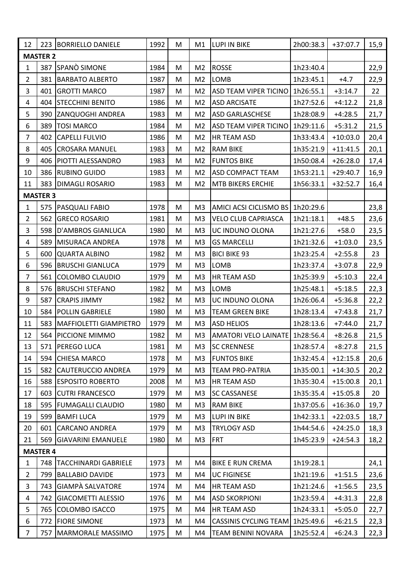| 12              |                 | 223 BORRIELLO DANIELE         | 1992 | M | M1             | <b>LUPI IN BIKE</b>          | 2h00:38.3 | $+37:07.7$ | 15,9 |
|-----------------|-----------------|-------------------------------|------|---|----------------|------------------------------|-----------|------------|------|
| <b>MASTER 2</b> |                 |                               |      |   |                |                              |           |            |      |
| 1               | 387             | SPANÒ SIMONE                  | 1984 | M | M <sub>2</sub> | <b>ROSSE</b>                 | 1h23:40.4 |            | 22,9 |
| $\overline{2}$  | 381             | <b>BARBATO ALBERTO</b>        | 1987 | M | M <sub>2</sub> | LOMB                         | 1h23:45.1 | $+4.7$     | 22,9 |
| 3               | 401             | <b>GROTTI MARCO</b>           | 1987 | M | M <sub>2</sub> | <b>ASD TEAM VIPER TICINO</b> | 1h26:55.1 | $+3:14.7$  | 22   |
| 4               | 404             | <b>STECCHINI BENITO</b>       | 1986 | M | M <sub>2</sub> | <b>ASD ARCISATE</b>          | 1h27:52.6 | $+4:12.2$  | 21,8 |
| 5               | 390             | <b>ZANQUOGHI ANDREA</b>       | 1983 | M | M <sub>2</sub> | <b>ASD GARLASCHESE</b>       | 1h28:08.9 | $+4:28.5$  | 21,7 |
| 6               | 389             | <b>TOSI MARCO</b>             | 1984 | M | M <sub>2</sub> | <b>ASD TEAM VIPER TICINO</b> | 1h29:11.6 | $+5:31.2$  | 21,5 |
| 7               | 402             | <b>CAPELLI FULVIO</b>         | 1986 | M | M <sub>2</sub> | HR TEAM ASD                  | 1h33:43.4 | $+10:03.0$ | 20,4 |
| 8               | 405             | <b>CROSARA MANUEL</b>         | 1983 | M | M <sub>2</sub> | <b>RAM BIKE</b>              | 1h35:21.9 | $+11:41.5$ | 20,1 |
| 9               | 406             | <b>PIOTTI ALESSANDRO</b>      | 1983 | M | M <sub>2</sub> | <b>FUNTOS BIKE</b>           | 1h50:08.4 | $+26:28.0$ | 17,4 |
| 10              | 386             | <b>RUBINO GUIDO</b>           | 1983 | M | M <sub>2</sub> | <b>ASD COMPACT TEAM</b>      | 1h53:21.1 | $+29:40.7$ | 16,9 |
| 11              | 383             | <b>DIMAGLI ROSARIO</b>        | 1983 | M | M <sub>2</sub> | MTB BIKERS ERCHIE            | 1h56:33.1 | $+32:52.7$ | 16,4 |
|                 | <b>MASTER 3</b> |                               |      |   |                |                              |           |            |      |
| $\mathbf{1}$    | 575             | PASQUALI FABIO                | 1978 | M | M3             | AMICI ACSI CICLISMO BS       | 1h20:29.6 |            | 23,8 |
| $\overline{2}$  | 562             | <b>GRECO ROSARIO</b>          | 1981 | M | M <sub>3</sub> | <b>VELO CLUB CAPRIASCA</b>   | 1h21:18.1 | $+48.5$    | 23,6 |
| 3               | 598             | <b>D'AMBROS GIANLUCA</b>      | 1980 | M | M <sub>3</sub> | UC INDUNO OLONA              | 1h21:27.6 | $+58.0$    | 23,5 |
| 4               | 589             | MISURACA ANDREA               | 1978 | M | M <sub>3</sub> | <b>GS MARCELLI</b>           | 1h21:32.6 | $+1:03.0$  | 23,5 |
| 5               | 600             | <b>QUARTA ALBINO</b>          | 1982 | M | M <sub>3</sub> | <b>BICI BIKE 93</b>          | 1h23:25.4 | $+2:55.8$  | 23   |
| 6               | 596             | <b>BRUSCHI GIANLUCA</b>       | 1979 | M | M <sub>3</sub> | LOMB                         | 1h23:37.4 | $+3:07.8$  | 22,9 |
| 7               | 561             | COLOMBO CLAUDIO               | 1979 | M | M <sub>3</sub> | HR TEAM ASD                  | 1h25:39.9 | $+5:10.3$  | 22,4 |
| 8               | 576             | <b>BRUSCHI STEFANO</b>        | 1982 | M | M <sub>3</sub> | LOMB                         | 1h25:48.1 | $+5:18.5$  | 22,3 |
| 9               | 587             | <b>CRAPIS JIMMY</b>           | 1982 | M | M <sub>3</sub> | UC INDUNO OLONA              | 1h26:06.4 | $+5:36.8$  | 22,2 |
| 10              | 584             | <b>POLLIN GABRIELE</b>        | 1980 | M | M <sub>3</sub> | <b>TEAM GREEN BIKE</b>       | 1h28:13.4 | $+7:43.8$  | 21,7 |
| 11              | 583             | <b>MAFFIOLETTI GIAMPIETRO</b> | 1979 | M | M <sub>3</sub> | <b>ASD HELIOS</b>            | 1h28:13.6 | $+7:44.0$  | 21,7 |
| 12              | 564             | <b>PICCIONE MIMMO</b>         | 1982 | M | M <sub>3</sub> | <b>AMATORI VELO LAINATE</b>  | 1h28:56.4 | $+8:26.8$  | 21,5 |
| 13              |                 | 571 PEREGO LUCA               | 1981 | M | M <sub>3</sub> | <b>SC CRENNESE</b>           | 1h28:57.4 | $+8:27.8$  | 21,5 |
| 14              |                 | 594 CHIESA MARCO              | 1978 | M | M3             | <b>FUNTOS BIKE</b>           | 1h32:45.4 | $+12:15.8$ | 20,6 |
| 15              | 582             | <b>CAUTERUCCIO ANDREA</b>     | 1979 | M | M3             | <b>TEAM PRO-PATRIA</b>       | 1h35:00.1 | $+14:30.5$ | 20,2 |
| 16              |                 | 588 ESPOSITO ROBERTO          | 2008 | M | M3             | HR TEAM ASD                  | 1h35:30.4 | $+15:00.8$ | 20,1 |
| 17              | 603             | <b>CUTRI FRANCESCO</b>        | 1979 | M | M3             | <b>SC CASSANESE</b>          | 1h35:35.4 | $+15:05.8$ | 20   |
| 18              |                 | 595 FUMAGALLI CLAUDIO         | 1980 | M | M <sub>3</sub> | <b>RAM BIKE</b>              | 1h37:05.6 | $+16:36.0$ | 19,7 |
| 19              | 599             | <b>BAMFILUCA</b>              | 1979 | M | M <sub>3</sub> | LUPI IN BIKE                 | 1h42:33.1 | $+22:03.5$ | 18,7 |
| 20              | 601             | <b>CARCANO ANDREA</b>         | 1979 | M | M3             | <b>TRYLOGY ASD</b>           | 1h44:54.6 | $+24:25.0$ | 18,3 |
| 21              | 569             | <b>GIAVARINI EMANUELE</b>     | 1980 | M | M <sub>3</sub> | <b>FRT</b>                   | 1h45:23.9 | $+24:54.3$ | 18,2 |
|                 | <b>MASTER 4</b> |                               |      |   |                |                              |           |            |      |
| $\mathbf{1}$    | 748             | <b>TACCHINARDI GABRIELE</b>   | 1973 | M | M4             | <b>BIKE E RUN CREMA</b>      | 1h19:28.1 |            | 24,1 |
| $\overline{2}$  | 799             | <b>BALLABIO DAVIDE</b>        | 1973 | M | M4             | <b>UC FIGINESE</b>           | 1h21:19.6 | $+1:51.5$  | 23,6 |
| 3               | 743             | <b>GIAMPÀ SALVATORE</b>       | 1974 | M | M4             | HR TEAM ASD                  | 1h21:24.6 | $+1:56.5$  | 23,5 |
| $\overline{a}$  | 742             | <b>GIACOMETTI ALESSIO</b>     | 1976 | M | M4             | <b>ASD SKORPIONI</b>         | 1h23:59.4 | $+4:31.3$  | 22,8 |
| 5               | 765             | <b>COLOMBO ISACCO</b>         | 1975 | M | M4             | HR TEAM ASD                  | 1h24:33.1 | $+5:05.0$  | 22,7 |
| 6               | 772             | <b>FIORE SIMONE</b>           | 1973 | M | M4             | <b>CASSINIS CYCLING TEAM</b> | 1h25:49.6 | $+6:21.5$  | 22,3 |
| 7               | 757             | <b>MARMORALE MASSIMO</b>      | 1975 | M | M4             | TEAM BENINI NOVARA           | 1h25:52.4 | $+6:24.3$  | 22,3 |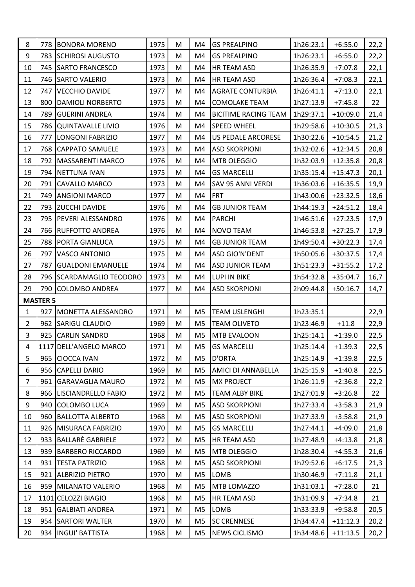| 8              | 778             | <b>BONORA MORENO</b>        | 1975 | M | M4             | <b>GS PREALPINO</b>         | 1h26:23.1 | $+6:55.0$  | 22,2 |
|----------------|-----------------|-----------------------------|------|---|----------------|-----------------------------|-----------|------------|------|
| 9              | 783             | <b>SCHIROSI AUGUSTO</b>     | 1973 | M | M4             | <b>GS PREALPINO</b>         | 1h26:23.1 | $+6:55.0$  | 22,2 |
| 10             | 745             | <b>SARTO FRANCESCO</b>      | 1973 | M | M4             | HR TEAM ASD                 | 1h26:35.9 | $+7:07.8$  | 22,1 |
| 11             | 746             | <b>SARTO VALERIO</b>        | 1973 | M | M4             | HR TEAM ASD                 | 1h26:36.4 | $+7:08.3$  | 22,1 |
| 12             | 747             | <b>VECCHIO DAVIDE</b>       | 1977 | M | M4             | <b>AGRATE CONTURBIA</b>     | 1h26:41.1 | $+7:13.0$  | 22,1 |
| 13             | 800             | <b>DAMIOLI NORBERTO</b>     | 1975 | M | M4             | <b>COMOLAKE TEAM</b>        | 1h27:13.9 | $+7:45.8$  | 22   |
| 14             | 789             | <b>GUERINI ANDREA</b>       | 1974 | M | M4             | <b>BICITIME RACING TEAM</b> | 1h29:37.1 | $+10:09.0$ | 21,4 |
| 15             | 786             | <b>QUINTAVALLE LIVIO</b>    | 1976 | M | M4             | <b>SPEED WHEEL</b>          | 1h29:58.6 | $+10:30.5$ | 21,3 |
| 16             | 777             | <b>LONGONI FABRIZIO</b>     | 1977 | M | M4             | <b>US PEDALE ARCORESE</b>   | 1h30:22.6 | $+10:54.5$ | 21,2 |
| 17             | 768             | <b>CAPPATO SAMUELE</b>      | 1973 | M | M4             | <b>ASD SKORPIONI</b>        | 1h32:02.6 | $+12:34.5$ | 20,8 |
| 18             | 792             | <b>MASSARENTI MARCO</b>     | 1976 | M | M4             | MTB OLEGGIO                 | 1h32:03.9 | $+12:35.8$ | 20,8 |
| 19             | 794             | <b>NETTUNA IVAN</b>         | 1975 | M | M4             | <b>GS MARCELLI</b>          | 1h35:15.4 | $+15:47.3$ | 20,1 |
| 20             | 791             | <b>CAVALLO MARCO</b>        | 1973 | M | M4             | SAV 95 ANNI VERDI           | 1h36:03.6 | $+16:35.5$ | 19,9 |
| 21             | 749             | <b>ANGIONI MARCO</b>        | 1977 | M | M4             | <b>FRT</b>                  | 1h43:00.6 | $+23:32.5$ | 18,6 |
| 22             | 793             | <b>ZUCCHI DAVIDE</b>        | 1976 | M | M4             | <b>GB JUNIOR TEAM</b>       | 1h44:19.3 | $+24:51.2$ | 18,4 |
| 23             | 795             | <b>PEVERI ALESSANDRO</b>    | 1976 | M | M4             | <b>PARCHI</b>               | 1h46:51.6 | $+27:23.5$ | 17,9 |
| 24             | 766             | <b>RUFFOTTO ANDREA</b>      | 1976 | M | M4             | NOVO TEAM                   | 1h46:53.8 | $+27:25.7$ | 17,9 |
| 25             | 788             | PORTA GIANLUCA              | 1975 | M | M4             | <b>GB JUNIOR TEAM</b>       | 1h49:50.4 | $+30:22.3$ | 17,4 |
| 26             | 797             | VASCO ANTONIO               | 1975 | M | M4             | ASD GIO'N'DENT              | 1h50:05.6 | $+30:37.5$ | 17,4 |
| 27             | 787             | <b>GUALDONI EMANUELE</b>    | 1974 | M | M4             | <b>ASD JUNIOR TEAM</b>      | 1h51:23.3 | $+31:55.2$ | 17,2 |
| 28             | 796             | <b>SCARDAMAGLIO TEODORO</b> | 1973 | M | M4             | LUPI IN BIKE                | 1h54:32.8 | $+35:04.7$ | 16,7 |
| 29             | 790             | <b>COLOMBO ANDREA</b>       | 1977 | M | M4             | <b>ASD SKORPIONI</b>        | 2h09:44.8 | $+50:16.7$ | 14,7 |
|                | <b>MASTER 5</b> |                             |      |   |                |                             |           |            |      |
| $\mathbf{1}$   | 927             | MONETTA ALESSANDRO          | 1971 | M | M5             | <b>TEAM USLENGHI</b>        | 1h23:35.1 |            | 22,9 |
| $\overline{2}$ | 962             | <b>SARIGU CLAUDIO</b>       | 1969 | M | M <sub>5</sub> | <b>TEAM OLIVETO</b>         | 1h23:46.9 | $+11.8$    | 22,9 |
| 3              | 925             | <b>CARLIN SANDRO</b>        | 1968 | M | M <sub>5</sub> | <b>MTB EVALOON</b>          | 1h25:14.1 | $+1:39.0$  | 22,5 |
| 4              |                 | 1117 DELL'ANGELO MARCO      | 1971 | M | M <sub>5</sub> | <b>GS MARCELLI</b>          | 1h25:14.4 | $+1:39.3$  | 22,5 |
| 5              | 965             | <b>CIOCCA IVAN</b>          | 1972 | M | M5             | <b>D'ORTA</b>               | 1h25:14.9 | $+1:39.8$  | 22,5 |
| 6              | 956             | <b>CAPELLI DARIO</b>        | 1969 | M | M5             | AMICI DI ANNABELLA          | 1h25:15.9 | $+1:40.8$  | 22,5 |
| 7              | 961             | <b>GARAVAGLIA MAURO</b>     | 1972 | M | M <sub>5</sub> | <b>MX PROJECT</b>           | 1h26:11.9 | $+2:36.8$  | 22,2 |
| 8              | 966             | <b>LISCIANDRELLO FABIO</b>  | 1972 | M | M5             | <b>TEAM ALBY BIKE</b>       | 1h27:01.9 | $+3:26.8$  | 22   |
| 9              | 940             | <b>COLOMBO LUCA</b>         | 1969 | M | M <sub>5</sub> | <b>ASD SKORPIONI</b>        | 1h27:33.4 | $+3:58.3$  | 21,9 |
| 10             | 960             | <b>BALLOTTA ALBERTO</b>     | 1968 | M | M5             | <b>ASD SKORPIONI</b>        | 1h27:33.9 | $+3:58.8$  | 21,9 |
| 11             |                 | 926   MISURACA FABRIZIO     | 1970 | M | M <sub>5</sub> | <b>GS MARCELLI</b>          | 1h27:44.1 | $+4:09.0$  | 21,8 |
| 12             | 933             | BALLARE GABRIELE            | 1972 | M | M5             | HR TEAM ASD                 | 1h27:48.9 | $+4:13.8$  | 21,8 |
| 13             | 939             | <b>BARBERO RICCARDO</b>     | 1969 | M | M <sub>5</sub> | MTB OLEGGIO                 | 1h28:30.4 | $+4:55.3$  | 21,6 |
| 14             | 931             | <b>TESTA PATRIZIO</b>       | 1968 | M | M <sub>5</sub> | <b>ASD SKORPIONI</b>        | 1h29:52.6 | $+6:17.5$  | 21,3 |
| 15             | 921             | <b>ALBRIZIO PIETRO</b>      | 1970 | M | M5             | LOMB                        | 1h30:46.9 | $+7:11.8$  | 21,1 |
| 16             | 959             | MILANATO VALERIO            | 1968 | M | M <sub>5</sub> | MTB LOMAZZO                 | 1h31:03.1 | $+7:28.0$  | 21   |
| 17             |                 | 1101 CELOZZI BIAGIO         | 1968 | M | M5             | HR TEAM ASD                 | 1h31:09.9 | $+7:34.8$  | 21   |
| 18             | 951             | <b>GALBIATI ANDREA</b>      | 1971 | M | M <sub>5</sub> | LOMB                        | 1h33:33.9 | $+9:58.8$  | 20,5 |
| 19             | 954             | <b>SARTORI WALTER</b>       | 1970 | M | M5             | <b>SC CRENNESE</b>          | 1h34:47.4 | $+11:12.3$ | 20,2 |
| 20             |                 | 934  INGUI' BATTISTA        | 1968 | M | M5             | NEWS CICLISMO               | 1h34:48.6 | $+11:13.5$ | 20,2 |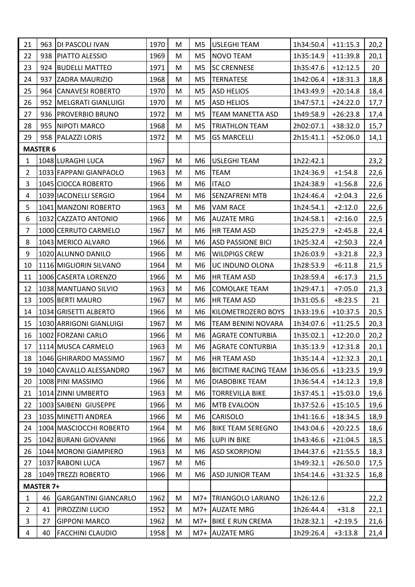| 21             |                  | 963   DI PASCOLI IVAN       | 1970 | M | M5             | <b>USLEGHI TEAM</b>         | 1h34:50.4 | $+11:15.3$ | 20,2 |
|----------------|------------------|-----------------------------|------|---|----------------|-----------------------------|-----------|------------|------|
| 22             |                  | 938   PIATTO ALESSIO        | 1969 | М | M <sub>5</sub> | <b>NOVO TEAM</b>            | 1h35:14.9 | $+11:39.8$ | 20,1 |
| 23             |                  | 924 BUDELLI MATTEO          | 1971 | M | M <sub>5</sub> | <b>SC CRENNESE</b>          | 1h35:47.6 | $+12:12.5$ | 20   |
| 24             | 937              | <b>ZADRA MAURIZIO</b>       | 1968 | M | M <sub>5</sub> | <b>TERNATESE</b>            | 1h42:06.4 | $+18:31.3$ | 18,8 |
| 25             |                  | 964 CANAVESI ROBERTO        | 1970 | M | M <sub>5</sub> | <b>ASD HELIOS</b>           | 1h43:49.9 | $+20:14.8$ | 18,4 |
| 26             |                  | 952   MELGRATI GIANLUIGI    | 1970 | M | M5             | <b>ASD HELIOS</b>           | 1h47:57.1 | $+24:22.0$ | 17,7 |
| 27             |                  | 936   PROVERBIO BRUNO       | 1972 | M | M <sub>5</sub> | <b>TEAM MANETTA ASD</b>     | 1h49:58.9 | $+26:23.8$ | 17,4 |
| 28             |                  | 955 NIPOTI MARCO            | 1968 | M | M5             | <b>TRIATHLON TEAM</b>       | 2h02:07.1 | $+38:32.0$ | 15,7 |
| 29             |                  | 958   PALAZZI LORIS         | 1972 | M | M <sub>5</sub> | <b>GS MARCELLI</b>          | 2h15:41.1 | $+52:06.0$ | 14,1 |
|                | <b>MASTER 6</b>  |                             |      |   |                |                             |           |            |      |
| 1              |                  | 1048 LURAGHI LUCA           | 1967 | M | M6             | <b>USLEGHI TEAM</b>         | 1h22:42.1 |            | 23,2 |
| $\overline{2}$ |                  | 1033 FAPPANI GIANPAOLO      | 1963 | M | M6             | <b>TEAM</b>                 | 1h24:36.9 | $+1:54.8$  | 22,6 |
| 3              |                  | 1045 CIOCCA ROBERTO         | 1966 | M | M6             | <b>ITALO</b>                | 1h24:38.9 | $+1:56.8$  | 22,6 |
| 4              |                  | 1039 IACONELLI SERGIO       | 1964 | M | M <sub>6</sub> | SENZAFRENI MTB              | 1h24:46.4 | $+2:04.3$  | 22,6 |
| 5              |                  | 1041 MANZONI ROBERTO        | 1963 | M | M6             | <b>VAM RACE</b>             | 1h24:54.1 | $+2:12.0$  | 22,6 |
| 6              |                  | 1032 CAZZATO ANTONIO        | 1966 | M | M6             | <b>AUZATE MRG</b>           | 1h24:58.1 | $+2:16.0$  | 22,5 |
| 7              |                  | 1000 CERRUTO CARMELO        | 1967 | M | M6             | HR TEAM ASD                 | 1h25:27.9 | $+2:45.8$  | 22,4 |
| 8              |                  | 1043 MERICO ALVARO          | 1966 | M | M <sub>6</sub> | <b>ASD PASSIONE BICI</b>    | 1h25:32.4 | $+2:50.3$  | 22,4 |
| 9              |                  | 1020 ALUNNO DANILO          | 1966 | M | M6             | <b>WILDPIGS CREW</b>        | 1h26:03.9 | $+3:21.8$  | 22,3 |
| 10             |                  | 1116 MIGLIORIN SILVANO      | 1964 | M | M6             | UC INDUNO OLONA             | 1h28:53.9 | $+6:11.8$  | 21,5 |
| 11             |                  | 1006 CASERTA LORENZO        | 1966 | M | M6             | HR TEAM ASD                 | 1h28:59.4 | $+6:17.3$  | 21,5 |
| 12             |                  | 1038 MANTUANO SILVIO        | 1963 | M | M6             | <b>COMOLAKE TEAM</b>        | 1h29:47.1 | $+7:05.0$  | 21,3 |
| 13             |                  | 1005 BERTI MAURO            | 1967 | M | M <sub>6</sub> | HR TEAM ASD                 | 1h31:05.6 | $+8:23.5$  | 21   |
| 14             |                  | 1034 GRISETTI ALBERTO       | 1966 | M | M6             | KILOMETROZERO BOYS          | 1h33:19.6 | $+10:37.5$ | 20,5 |
| 15             |                  | 1030 ARRIGONI GIANLUIGI     | 1967 | M | M6             | <b>TEAM BENINI NOVARA</b>   | 1h34:07.6 | $+11:25.5$ | 20,3 |
| 16             |                  | 1002 FORZANI CARLO          | 1966 | M | M6             | <b>AGRATE CONTURBIA</b>     | 1h35:02.1 | $+12:20.0$ | 20,2 |
| 17             |                  | 1114 MUSCA CARMELO          | 1963 | M | M6             | <b>AGRATE CONTURBIA</b>     | 1h35:13.9 | $+12:31.8$ | 20,1 |
| 18             |                  | 1046 GHIRARDO MASSIMO       | 1967 | M | M6             | HR TEAM ASD                 | 1h35:14.4 | $+12:32.3$ | 20,1 |
| 19             |                  | 1040 CAVALLO ALESSANDRO     | 1967 | M | M6             | <b>BICITIME RACING TEAM</b> | 1h36:05.6 | $+13:23.5$ | 19,9 |
| 20             |                  | 1008 PINI MASSIMO           | 1966 | M | M6             | <b>DIABOBIKE TEAM</b>       | 1h36:54.4 | $+14:12.3$ | 19,8 |
| 21             |                  | 1014 ZINNI UMBERTO          | 1963 | M | M6             | <b>TORREVILLA BIKE</b>      | 1h37:45.1 | $+15:03.0$ | 19,6 |
| 22             |                  | 1003 SAIBENI GIUSEPPE       | 1966 | M | M <sub>6</sub> | <b>MTB EVALOON</b>          | 1h37:52.6 | $+15:10.5$ | 19,6 |
| 23             |                  | 1035 MINETTI ANDREA         | 1966 | M | M6             | CARISOLO                    | 1h41:16.6 | $+18:34.5$ | 18,9 |
| 24             |                  | 1004 MASCIOCCHI ROBERTO     | 1964 | М | M6             | <b>BIKE TEAM SEREGNO</b>    | 1h43:04.6 | $+20:22.5$ | 18,6 |
| 25             |                  | 1042 BURANI GIOVANNI        | 1966 | M | M6             | LUPI IN BIKE                | 1h43:46.6 | $+21:04.5$ | 18,5 |
| 26             |                  | 1044 MORONI GIAMPIERO       | 1963 | M | M <sub>6</sub> | <b>ASD SKORPIONI</b>        | 1h44:37.6 | $+21:55.5$ | 18,3 |
| 27             |                  | 1037 RABONI LUCA            | 1967 | M | M6             |                             | 1h49:32.1 | $+26:50.0$ | 17,5 |
| 28             |                  | 1049 TREZZI ROBERTO         | 1966 | M | M6             | <b>ASD JUNIOR TEAM</b>      | 1h54:14.6 | $+31:32.5$ | 16,8 |
|                | <b>MASTER 7+</b> |                             |      |   |                |                             |           |            |      |
| $\mathbf{1}$   | 46               | <b>GARGANTINI GIANCARLO</b> | 1962 | M | $M7+$          | TRIANGOLO LARIANO           | 1h26:12.6 |            | 22,2 |
| $\overline{2}$ | 41               | PIROZZINI LUCIO             | 1952 | M | $M7+$          | <b>AUZATE MRG</b>           | 1h26:44.4 | $+31.8$    | 22,1 |
| 3              | 27               | <b>GIPPONI MARCO</b>        | 1962 | M |                | M7+ BIKE E RUN CREMA        | 1h28:32.1 | $+2:19.5$  | 21,6 |
| 4              | 40               | <b>FACCHINI CLAUDIO</b>     | 1958 | M |                | M7+ AUZATE MRG              | 1h29:26.4 | $+3:13.8$  | 21,4 |